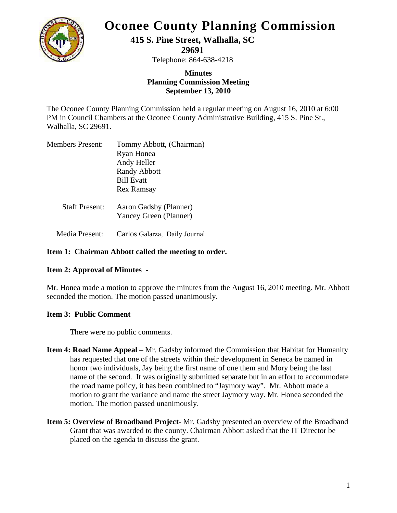

# **Oconee County Planning Commission**

## **415 S. Pine Street, Walhalla, SC**

**29691** 

Telephone: 864-638-4218

#### **Minutes Planning Commission Meeting September 13, 2010**

The Oconee County Planning Commission held a regular meeting on August 16, 2010 at 6:00 PM in Council Chambers at the Oconee County Administrative Building, 415 S. Pine St., Walhalla, SC 29691.

| <b>Members Present:</b> | Tommy Abbott, (Chairman) |
|-------------------------|--------------------------|
|                         | Ryan Honea               |
|                         | Andy Heller              |
|                         | <b>Randy Abbott</b>      |
|                         | <b>Bill Evatt</b>        |
|                         | Rex Ramsay               |
|                         |                          |

 Staff Present: Aaron Gadsby (Planner) Yancey Green (Planner)

Media Present: Carlos Galarza, Daily Journal

#### **Item 1: Chairman Abbott called the meeting to order.**

### **Item 2: Approval of Minutes -**

Mr. Honea made a motion to approve the minutes from the August 16, 2010 meeting. Mr. Abbott seconded the motion. The motion passed unanimously.

#### **Item 3: Public Comment**

There were no public comments.

- **Item 4: Road Name Appeal** Mr. Gadsby informed the Commission that Habitat for Humanity has requested that one of the streets within their development in Seneca be named in honor two individuals, Jay being the first name of one them and Mory being the last name of the second. It was originally submitted separate but in an effort to accommodate the road name policy, it has been combined to "Jaymory way". Mr. Abbott made a motion to grant the variance and name the street Jaymory way. Mr. Honea seconded the motion. The motion passed unanimously.
- **Item 5: Overview of Broadband Project-** Mr. Gadsby presented an overview of the Broadband Grant that was awarded to the county. Chairman Abbott asked that the IT Director be placed on the agenda to discuss the grant.